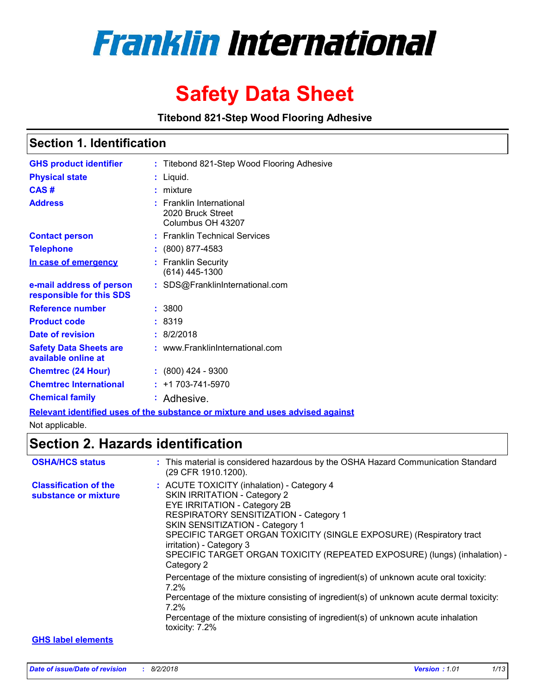

# **Safety Data Sheet**

**Titebond 821-Step Wood Flooring Adhesive**

### **Section 1. Identification**

| <b>GHS product identifier</b>                                                 |  | : Titebond 821-Step Wood Flooring Adhesive                              |  |  |
|-------------------------------------------------------------------------------|--|-------------------------------------------------------------------------|--|--|
| <b>Physical state</b>                                                         |  | $:$ Liquid.                                                             |  |  |
| CAS#                                                                          |  | mixture                                                                 |  |  |
| <b>Address</b>                                                                |  | <b>Franklin International</b><br>2020 Bruck Street<br>Columbus OH 43207 |  |  |
| <b>Contact person</b>                                                         |  | : Franklin Technical Services                                           |  |  |
| <b>Telephone</b>                                                              |  | (800) 877-4583                                                          |  |  |
| In case of emergency                                                          |  | : Franklin Security<br>(614) 445-1300                                   |  |  |
| e-mail address of person<br>responsible for this SDS                          |  | : SDS@FranklinInternational.com                                         |  |  |
| Reference number                                                              |  | : 3800                                                                  |  |  |
| <b>Product code</b>                                                           |  | : 8319                                                                  |  |  |
| Date of revision                                                              |  | 8/2/2018                                                                |  |  |
| <b>Safety Data Sheets are</b><br>available online at                          |  | : www.FranklinInternational.com                                         |  |  |
| <b>Chemtrec (24 Hour)</b>                                                     |  | $: (800)$ 424 - 9300                                                    |  |  |
| <b>Chemtrec International</b>                                                 |  | $: +1703 - 741 - 5970$                                                  |  |  |
| <b>Chemical family</b>                                                        |  | : Adhesive.                                                             |  |  |
| Relevant identified uses of the substance or mixture and uses advised against |  |                                                                         |  |  |

Not applicable.

### **Section 2. Hazards identification**

| <b>OSHA/HCS status</b>                               | : This material is considered hazardous by the OSHA Hazard Communication Standard<br>(29 CFR 1910.1200).                                                                                                                                                                                                                                                                                            |
|------------------------------------------------------|-----------------------------------------------------------------------------------------------------------------------------------------------------------------------------------------------------------------------------------------------------------------------------------------------------------------------------------------------------------------------------------------------------|
| <b>Classification of the</b><br>substance or mixture | : ACUTE TOXICITY (inhalation) - Category 4<br><b>SKIN IRRITATION - Category 2</b><br><b>EYE IRRITATION - Category 2B</b><br>RESPIRATORY SENSITIZATION - Category 1<br>SKIN SENSITIZATION - Category 1<br>SPECIFIC TARGET ORGAN TOXICITY (SINGLE EXPOSURE) (Respiratory tract<br>irritation) - Category 3<br>SPECIFIC TARGET ORGAN TOXICITY (REPEATED EXPOSURE) (lungs) (inhalation) -<br>Category 2 |
|                                                      | Percentage of the mixture consisting of ingredient(s) of unknown acute oral toxicity:<br>$7.2\%$<br>Percentage of the mixture consisting of ingredient(s) of unknown acute dermal toxicity:<br>$7.2\%$<br>Percentage of the mixture consisting of ingredient(s) of unknown acute inhalation<br>toxicity: 7.2%                                                                                       |

#### **GHS label elements**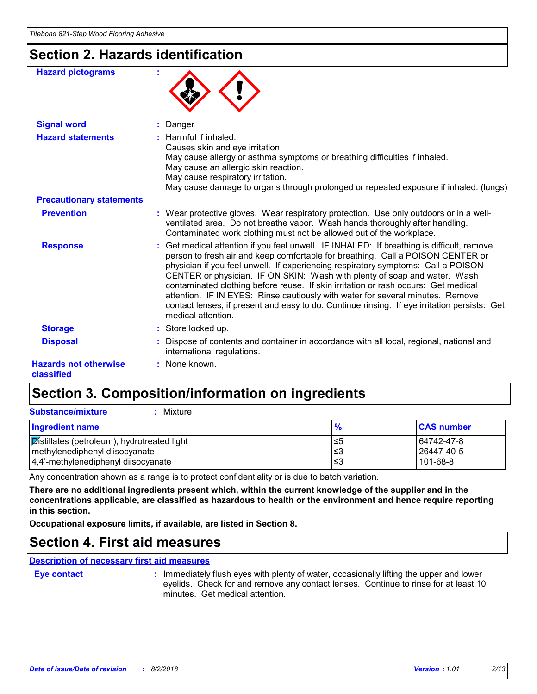### **Section 2. Hazards identification**

| <b>Hazard pictograms</b>                   |                                                                                                                                                                                                                                                                                                                                                                                                                                                                                                                                                                                                                                              |
|--------------------------------------------|----------------------------------------------------------------------------------------------------------------------------------------------------------------------------------------------------------------------------------------------------------------------------------------------------------------------------------------------------------------------------------------------------------------------------------------------------------------------------------------------------------------------------------------------------------------------------------------------------------------------------------------------|
| <b>Signal word</b>                         | Danger                                                                                                                                                                                                                                                                                                                                                                                                                                                                                                                                                                                                                                       |
| <b>Hazard statements</b>                   | : Harmful if inhaled.<br>Causes skin and eye irritation.<br>May cause allergy or asthma symptoms or breathing difficulties if inhaled.<br>May cause an allergic skin reaction.<br>May cause respiratory irritation.<br>May cause damage to organs through prolonged or repeated exposure if inhaled. (lungs)                                                                                                                                                                                                                                                                                                                                 |
| <b>Precautionary statements</b>            |                                                                                                                                                                                                                                                                                                                                                                                                                                                                                                                                                                                                                                              |
| <b>Prevention</b>                          | : Wear protective gloves. Wear respiratory protection. Use only outdoors or in a well-<br>ventilated area. Do not breathe vapor. Wash hands thoroughly after handling.<br>Contaminated work clothing must not be allowed out of the workplace.                                                                                                                                                                                                                                                                                                                                                                                               |
| <b>Response</b>                            | : Get medical attention if you feel unwell. IF INHALED: If breathing is difficult, remove<br>person to fresh air and keep comfortable for breathing. Call a POISON CENTER or<br>physician if you feel unwell. If experiencing respiratory symptoms: Call a POISON<br>CENTER or physician. IF ON SKIN: Wash with plenty of soap and water. Wash<br>contaminated clothing before reuse. If skin irritation or rash occurs: Get medical<br>attention. IF IN EYES: Rinse cautiously with water for several minutes. Remove<br>contact lenses, if present and easy to do. Continue rinsing. If eye irritation persists: Get<br>medical attention. |
| <b>Storage</b>                             | : Store locked up.                                                                                                                                                                                                                                                                                                                                                                                                                                                                                                                                                                                                                           |
| <b>Disposal</b>                            | Dispose of contents and container in accordance with all local, regional, national and<br>international regulations.                                                                                                                                                                                                                                                                                                                                                                                                                                                                                                                         |
| <b>Hazards not otherwise</b><br>classified | : None known.                                                                                                                                                                                                                                                                                                                                                                                                                                                                                                                                                                                                                                |

### **Section 3. Composition/information on ingredients**

| <b>Substance/mixture</b><br>Mixture                                                                                      |                   |                                      |
|--------------------------------------------------------------------------------------------------------------------------|-------------------|--------------------------------------|
| <b>Ingredient name</b>                                                                                                   | $\frac{9}{6}$     | <b>CAS number</b>                    |
| Distillates (petroleum), hydrotreated light<br>methylenediphenyl diisocyanate<br>$ 4,4$ '-methylenediphenyl diisocyanate | l≤5<br>l≤3<br>l≤3 | 64742-47-8<br>26447-40-5<br>101-68-8 |

Any concentration shown as a range is to protect confidentiality or is due to batch variation.

**There are no additional ingredients present which, within the current knowledge of the supplier and in the concentrations applicable, are classified as hazardous to health or the environment and hence require reporting in this section.**

**Occupational exposure limits, if available, are listed in Section 8.**

### **Section 4. First aid measures**

**Description of necessary first aid measures**

**Eye contact :**

: Immediately flush eyes with plenty of water, occasionally lifting the upper and lower eyelids. Check for and remove any contact lenses. Continue to rinse for at least 10 minutes. Get medical attention.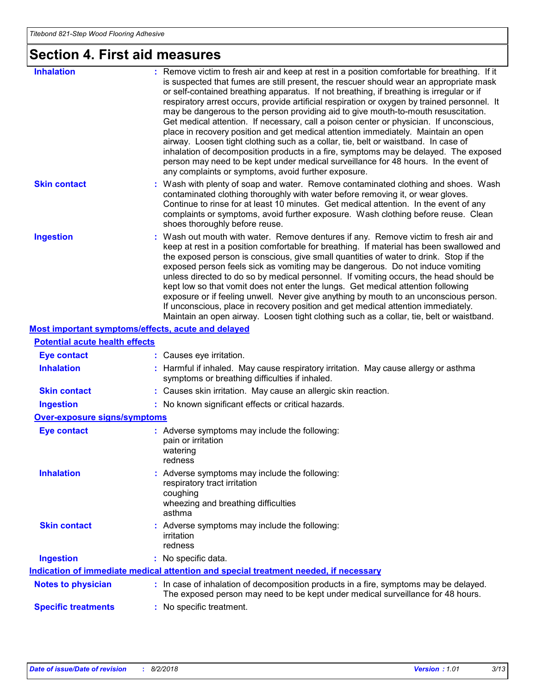# **Section 4. First aid measures**

| <b>Inhalation</b>                                  | : Remove victim to fresh air and keep at rest in a position comfortable for breathing. If it<br>is suspected that fumes are still present, the rescuer should wear an appropriate mask<br>or self-contained breathing apparatus. If not breathing, if breathing is irregular or if<br>respiratory arrest occurs, provide artificial respiration or oxygen by trained personnel. It<br>may be dangerous to the person providing aid to give mouth-to-mouth resuscitation.<br>Get medical attention. If necessary, call a poison center or physician. If unconscious,<br>place in recovery position and get medical attention immediately. Maintain an open<br>airway. Loosen tight clothing such as a collar, tie, belt or waistband. In case of<br>inhalation of decomposition products in a fire, symptoms may be delayed. The exposed<br>person may need to be kept under medical surveillance for 48 hours. In the event of<br>any complaints or symptoms, avoid further exposure. |
|----------------------------------------------------|---------------------------------------------------------------------------------------------------------------------------------------------------------------------------------------------------------------------------------------------------------------------------------------------------------------------------------------------------------------------------------------------------------------------------------------------------------------------------------------------------------------------------------------------------------------------------------------------------------------------------------------------------------------------------------------------------------------------------------------------------------------------------------------------------------------------------------------------------------------------------------------------------------------------------------------------------------------------------------------|
| <b>Skin contact</b>                                | : Wash with plenty of soap and water. Remove contaminated clothing and shoes. Wash<br>contaminated clothing thoroughly with water before removing it, or wear gloves.<br>Continue to rinse for at least 10 minutes. Get medical attention. In the event of any<br>complaints or symptoms, avoid further exposure. Wash clothing before reuse. Clean<br>shoes thoroughly before reuse.                                                                                                                                                                                                                                                                                                                                                                                                                                                                                                                                                                                                 |
| <b>Ingestion</b>                                   | : Wash out mouth with water. Remove dentures if any. Remove victim to fresh air and<br>keep at rest in a position comfortable for breathing. If material has been swallowed and<br>the exposed person is conscious, give small quantities of water to drink. Stop if the<br>exposed person feels sick as vomiting may be dangerous. Do not induce vomiting<br>unless directed to do so by medical personnel. If vomiting occurs, the head should be<br>kept low so that vomit does not enter the lungs. Get medical attention following<br>exposure or if feeling unwell. Never give anything by mouth to an unconscious person.<br>If unconscious, place in recovery position and get medical attention immediately.<br>Maintain an open airway. Loosen tight clothing such as a collar, tie, belt or waistband.                                                                                                                                                                     |
| Most important symptoms/effects, acute and delayed |                                                                                                                                                                                                                                                                                                                                                                                                                                                                                                                                                                                                                                                                                                                                                                                                                                                                                                                                                                                       |
| <b>Potential acute health effects</b>              |                                                                                                                                                                                                                                                                                                                                                                                                                                                                                                                                                                                                                                                                                                                                                                                                                                                                                                                                                                                       |

| Potential acute health effects      |                                                                                                                                                                          |
|-------------------------------------|--------------------------------------------------------------------------------------------------------------------------------------------------------------------------|
| <b>Eye contact</b>                  | : Causes eye irritation.                                                                                                                                                 |
| <b>Inhalation</b>                   | : Harmful if inhaled. May cause respiratory irritation. May cause allergy or asthma<br>symptoms or breathing difficulties if inhaled.                                    |
| <b>Skin contact</b>                 | : Causes skin irritation. May cause an allergic skin reaction.                                                                                                           |
| <b>Ingestion</b>                    | : No known significant effects or critical hazards.                                                                                                                      |
| <b>Over-exposure signs/symptoms</b> |                                                                                                                                                                          |
| <b>Eye contact</b>                  | : Adverse symptoms may include the following:<br>pain or irritation<br>watering<br>redness                                                                               |
| <b>Inhalation</b>                   | : Adverse symptoms may include the following:<br>respiratory tract irritation<br>coughing<br>wheezing and breathing difficulties<br>asthma                               |
| <b>Skin contact</b>                 | : Adverse symptoms may include the following:<br>irritation<br>redness                                                                                                   |
| <b>Ingestion</b>                    | : No specific data.                                                                                                                                                      |
|                                     | Indication of immediate medical attention and special treatment needed, if necessary                                                                                     |
| <b>Notes to physician</b>           | : In case of inhalation of decomposition products in a fire, symptoms may be delayed.<br>The exposed person may need to be kept under medical surveillance for 48 hours. |
| <b>Specific treatments</b>          | : No specific treatment.                                                                                                                                                 |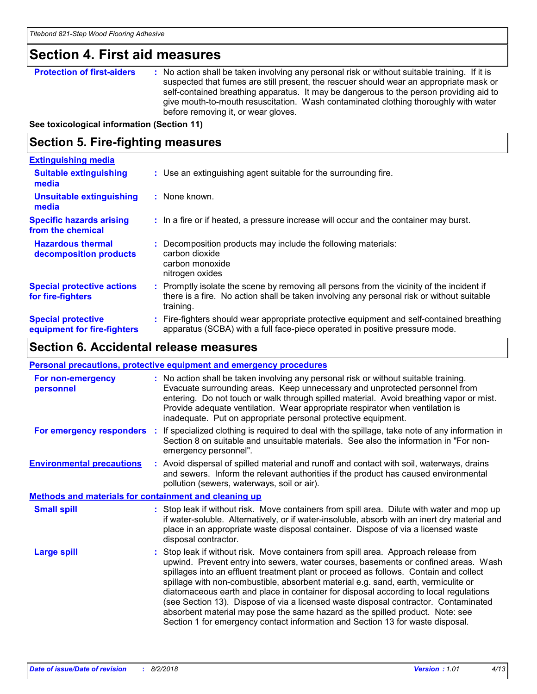### **Section 4. First aid measures**

**Protection of first-aiders** : No action shall be taken involving any personal risk or without suitable training. If it is suspected that fumes are still present, the rescuer should wear an appropriate mask or self-contained breathing apparatus. It may be dangerous to the person providing aid to give mouth-to-mouth resuscitation. Wash contaminated clothing thoroughly with water before removing it, or wear gloves.

**See toxicological information (Section 11)**

### **Section 5. Fire-fighting measures**

| <b>Extinguishing media</b>                               |                                                                                                                                                                                                   |
|----------------------------------------------------------|---------------------------------------------------------------------------------------------------------------------------------------------------------------------------------------------------|
| <b>Suitable extinguishing</b><br>media                   | : Use an extinguishing agent suitable for the surrounding fire.                                                                                                                                   |
| <b>Unsuitable extinguishing</b><br>media                 | : None known.                                                                                                                                                                                     |
| <b>Specific hazards arising</b><br>from the chemical     | : In a fire or if heated, a pressure increase will occur and the container may burst.                                                                                                             |
| <b>Hazardous thermal</b><br>decomposition products       | : Decomposition products may include the following materials:<br>carbon dioxide<br>carbon monoxide<br>nitrogen oxides                                                                             |
| <b>Special protective actions</b><br>for fire-fighters   | Promptly isolate the scene by removing all persons from the vicinity of the incident if<br>there is a fire. No action shall be taken involving any personal risk or without suitable<br>training. |
| <b>Special protective</b><br>equipment for fire-fighters | : Fire-fighters should wear appropriate protective equipment and self-contained breathing<br>apparatus (SCBA) with a full face-piece operated in positive pressure mode.                          |

### **Section 6. Accidental release measures**

|                                                              | <b>Personal precautions, protective equipment and emergency procedures</b>                                                                                                                                                                                                                                                                                                                                                                                                                                                                                                                                                                                                                                   |
|--------------------------------------------------------------|--------------------------------------------------------------------------------------------------------------------------------------------------------------------------------------------------------------------------------------------------------------------------------------------------------------------------------------------------------------------------------------------------------------------------------------------------------------------------------------------------------------------------------------------------------------------------------------------------------------------------------------------------------------------------------------------------------------|
| For non-emergency<br>personnel                               | : No action shall be taken involving any personal risk or without suitable training.<br>Evacuate surrounding areas. Keep unnecessary and unprotected personnel from<br>entering. Do not touch or walk through spilled material. Avoid breathing vapor or mist.<br>Provide adequate ventilation. Wear appropriate respirator when ventilation is<br>inadequate. Put on appropriate personal protective equipment.                                                                                                                                                                                                                                                                                             |
|                                                              | For emergency responders : If specialized clothing is required to deal with the spillage, take note of any information in<br>Section 8 on suitable and unsuitable materials. See also the information in "For non-<br>emergency personnel".                                                                                                                                                                                                                                                                                                                                                                                                                                                                  |
| <b>Environmental precautions</b>                             | : Avoid dispersal of spilled material and runoff and contact with soil, waterways, drains<br>and sewers. Inform the relevant authorities if the product has caused environmental<br>pollution (sewers, waterways, soil or air).                                                                                                                                                                                                                                                                                                                                                                                                                                                                              |
| <b>Methods and materials for containment and cleaning up</b> |                                                                                                                                                                                                                                                                                                                                                                                                                                                                                                                                                                                                                                                                                                              |
| <b>Small spill</b>                                           | : Stop leak if without risk. Move containers from spill area. Dilute with water and mop up<br>if water-soluble. Alternatively, or if water-insoluble, absorb with an inert dry material and<br>place in an appropriate waste disposal container. Dispose of via a licensed waste<br>disposal contractor.                                                                                                                                                                                                                                                                                                                                                                                                     |
| <b>Large spill</b>                                           | : Stop leak if without risk. Move containers from spill area. Approach release from<br>upwind. Prevent entry into sewers, water courses, basements or confined areas. Wash<br>spillages into an effluent treatment plant or proceed as follows. Contain and collect<br>spillage with non-combustible, absorbent material e.g. sand, earth, vermiculite or<br>diatomaceous earth and place in container for disposal according to local regulations<br>(see Section 13). Dispose of via a licensed waste disposal contractor. Contaminated<br>absorbent material may pose the same hazard as the spilled product. Note: see<br>Section 1 for emergency contact information and Section 13 for waste disposal. |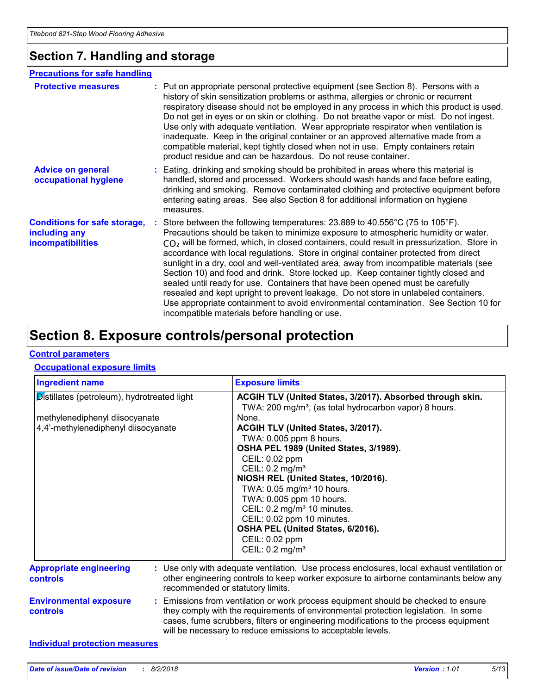### **Section 7. Handling and storage**

#### **Advice on general occupational hygiene Conditions for safe storage, including any incompatibilities** Eating, drinking and smoking should be prohibited in areas where this material is **:** handled, stored and processed. Workers should wash hands and face before eating, drinking and smoking. Remove contaminated clothing and protective equipment before entering eating areas. See also Section 8 for additional information on hygiene measures. Store between the following temperatures: 23.889 to 40.556°C (75 to 105°F). **:** Precautions should be taken to minimize exposure to atmospheric humidity or water.  $CO<sub>2</sub>$  will be formed, which, in closed containers, could result in pressurization. Store in accordance with local regulations. Store in original container protected from direct sunlight in a dry, cool and well-ventilated area, away from incompatible materials (see Section 10) and food and drink. Store locked up. Keep container tightly closed and sealed until ready for use. Containers that have been opened must be carefully resealed and kept upright to prevent leakage. Do not store in unlabeled containers. Use appropriate containment to avoid environmental contamination. See Section 10 for incompatible materials before handling or use. **Protective measures** : Put on appropriate personal protective equipment (see Section 8). Persons with a **Protestion** history of skin sensitization problems or asthma, allergies or chronic or recurrent respiratory disease should not be employed in any process in which this product is used. Do not get in eyes or on skin or clothing. Do not breathe vapor or mist. Do not ingest. Use only with adequate ventilation. Wear appropriate respirator when ventilation is inadequate. Keep in the original container or an approved alternative made from a compatible material, kept tightly closed when not in use. Empty containers retain product residue and can be hazardous. Do not reuse container. **Precautions for safe handling**

### **Section 8. Exposure controls/personal protection**

#### **Control parameters**

#### **Occupational exposure limits**

| <b>Ingredient name</b>                                                                                               | <b>Exposure limits</b>                                                                                                                                                                                                                                                                                                                                                                                          |  |
|----------------------------------------------------------------------------------------------------------------------|-----------------------------------------------------------------------------------------------------------------------------------------------------------------------------------------------------------------------------------------------------------------------------------------------------------------------------------------------------------------------------------------------------------------|--|
| Distillates (petroleum), hydrotreated light<br>methylenediphenyl diisocyanate<br>4,4'-methylenediphenyl diisocyanate | ACGIH TLV (United States, 3/2017). Absorbed through skin.<br>TWA: 200 mg/m <sup>3</sup> , (as total hydrocarbon vapor) 8 hours.<br>None.<br>ACGIH TLV (United States, 3/2017).<br>TWA: 0.005 ppm 8 hours.<br>OSHA PEL 1989 (United States, 3/1989).<br>CEIL: 0.02 ppm<br>CEIL: $0.2 \text{ mg/m}^3$<br>NIOSH REL (United States, 10/2016).<br>TWA: 0.05 mg/m <sup>3</sup> 10 hours.<br>TWA: 0.005 ppm 10 hours. |  |
|                                                                                                                      | CEIL: 0.2 mg/m <sup>3</sup> 10 minutes.<br>CEIL: 0.02 ppm 10 minutes.<br>OSHA PEL (United States, 6/2016).<br>CEIL: 0.02 ppm<br>CEIL: $0.2 \text{ mg/m}^3$                                                                                                                                                                                                                                                      |  |
| <b>Appropriate engineering</b><br>controls                                                                           | : Use only with adequate ventilation. Use process enclosures, local exhaust ventilation or<br>other engineering controls to keep worker exposure to airborne contaminants below any<br>recommended or statutory limits.                                                                                                                                                                                         |  |
| <b>Environmental exposure</b><br>controls                                                                            | : Emissions from ventilation or work process equipment should be checked to ensure<br>they comply with the requirements of environmental protection legislation. In some<br>cases, fume scrubbers, filters or engineering modifications to the process equipment<br>will be necessary to reduce emissions to acceptable levels.                                                                                 |  |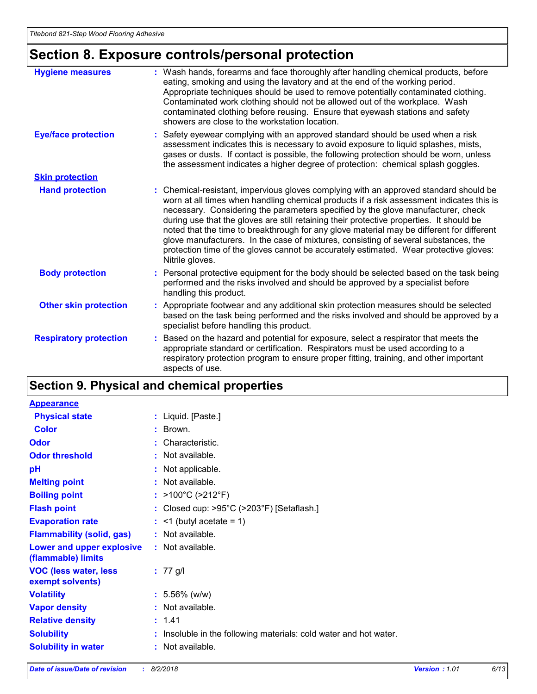# **Section 8. Exposure controls/personal protection**

| <b>Hygiene measures</b>       | : Wash hands, forearms and face thoroughly after handling chemical products, before<br>eating, smoking and using the lavatory and at the end of the working period.<br>Appropriate techniques should be used to remove potentially contaminated clothing.<br>Contaminated work clothing should not be allowed out of the workplace. Wash<br>contaminated clothing before reusing. Ensure that eyewash stations and safety<br>showers are close to the workstation location.                                                                                                                                                                                       |
|-------------------------------|-------------------------------------------------------------------------------------------------------------------------------------------------------------------------------------------------------------------------------------------------------------------------------------------------------------------------------------------------------------------------------------------------------------------------------------------------------------------------------------------------------------------------------------------------------------------------------------------------------------------------------------------------------------------|
| <b>Eye/face protection</b>    | : Safety eyewear complying with an approved standard should be used when a risk<br>assessment indicates this is necessary to avoid exposure to liquid splashes, mists,<br>gases or dusts. If contact is possible, the following protection should be worn, unless<br>the assessment indicates a higher degree of protection: chemical splash goggles.                                                                                                                                                                                                                                                                                                             |
| <b>Skin protection</b>        |                                                                                                                                                                                                                                                                                                                                                                                                                                                                                                                                                                                                                                                                   |
| <b>Hand protection</b>        | : Chemical-resistant, impervious gloves complying with an approved standard should be<br>worn at all times when handling chemical products if a risk assessment indicates this is<br>necessary. Considering the parameters specified by the glove manufacturer, check<br>during use that the gloves are still retaining their protective properties. It should be<br>noted that the time to breakthrough for any glove material may be different for different<br>glove manufacturers. In the case of mixtures, consisting of several substances, the<br>protection time of the gloves cannot be accurately estimated. Wear protective gloves:<br>Nitrile gloves. |
| <b>Body protection</b>        | : Personal protective equipment for the body should be selected based on the task being<br>performed and the risks involved and should be approved by a specialist before<br>handling this product.                                                                                                                                                                                                                                                                                                                                                                                                                                                               |
| <b>Other skin protection</b>  | : Appropriate footwear and any additional skin protection measures should be selected<br>based on the task being performed and the risks involved and should be approved by a<br>specialist before handling this product.                                                                                                                                                                                                                                                                                                                                                                                                                                         |
| <b>Respiratory protection</b> | : Based on the hazard and potential for exposure, select a respirator that meets the<br>appropriate standard or certification. Respirators must be used according to a<br>respiratory protection program to ensure proper fitting, training, and other important<br>aspects of use.                                                                                                                                                                                                                                                                                                                                                                               |

### **Section 9. Physical and chemical properties**

| <b>Appearance</b>                                |                                                                 |
|--------------------------------------------------|-----------------------------------------------------------------|
| <b>Physical state</b>                            | : Liquid. [Paste.]                                              |
| <b>Color</b>                                     | $\therefore$ Brown.                                             |
| <b>Odor</b>                                      | Characteristic.                                                 |
| <b>Odor threshold</b>                            | : Not available.                                                |
| pH                                               | : Not applicable.                                               |
| <b>Melting point</b>                             | : Not available.                                                |
| <b>Boiling point</b>                             | : >100°C (>212°F)                                               |
| <b>Flash point</b>                               | : Closed cup: $>95^{\circ}$ C ( $>203^{\circ}$ F) [Setaflash.]  |
| <b>Evaporation rate</b>                          | $:$ <1 (butyl acetate = 1)                                      |
| <b>Flammability (solid, gas)</b>                 | : Not available.                                                |
| Lower and upper explosive<br>(flammable) limits  | : Not available.                                                |
| <b>VOC (less water, less</b><br>exempt solvents) | $: 77$ g/l                                                      |
| <b>Volatility</b>                                | $: 5.56\%$ (w/w)                                                |
| <b>Vapor density</b>                             | : Not available.                                                |
| <b>Relative density</b>                          | : 1.41                                                          |
| <b>Solubility</b>                                | Insoluble in the following materials: cold water and hot water. |
| <b>Solubility in water</b>                       | : Not available.                                                |
|                                                  |                                                                 |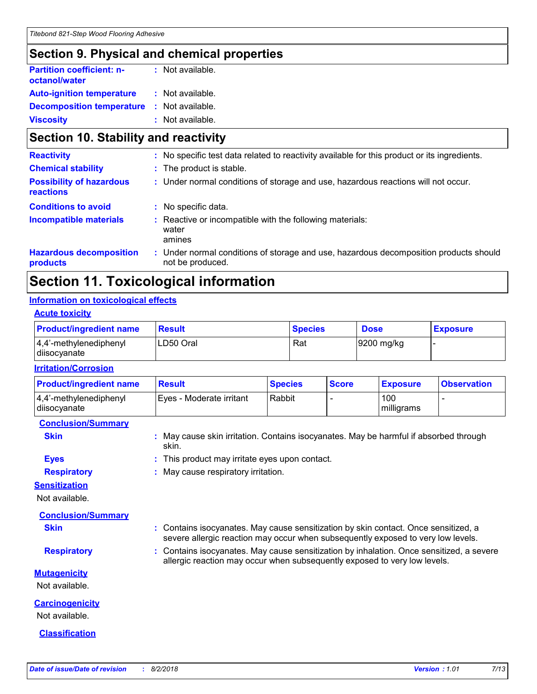### **Section 9. Physical and chemical properties**

| <b>Partition coefficient: n-</b><br>octanol/water | : Not available. |  |
|---------------------------------------------------|------------------|--|
| <b>Auto-ignition temperature</b>                  | : Not available. |  |
| <b>Decomposition temperature</b>                  | : Not available. |  |
| <b>Viscosity</b>                                  | : Not available. |  |

### **Section 10. Stability and reactivity**

| <b>Reactivity</b>                                   |    | : No specific test data related to reactivity available for this product or its ingredients.              |
|-----------------------------------------------------|----|-----------------------------------------------------------------------------------------------------------|
| <b>Chemical stability</b>                           |    | : The product is stable.                                                                                  |
| <b>Possibility of hazardous</b><br><b>reactions</b> |    | : Under normal conditions of storage and use, hazardous reactions will not occur.                         |
| <b>Conditions to avoid</b>                          | ÷. | No specific data.                                                                                         |
| <b>Incompatible materials</b>                       |    | Reactive or incompatible with the following materials:<br>water<br>amines                                 |
| <b>Hazardous decomposition</b><br>products          |    | : Under normal conditions of storage and use, hazardous decomposition products should<br>not be produced. |

### **Section 11. Toxicological information**

#### **Information on toxicological effects**

| <b>Acute toxicity</b> |
|-----------------------|
|-----------------------|

| <b>Product/ingredient name</b>         | <b>Result</b> | <b>Species</b> | <b>Dose</b> | <b>Exposure</b> |
|----------------------------------------|---------------|----------------|-------------|-----------------|
| 4,4'-methylenediphenyl<br>diisocyanate | LD50 Oral     | Rat            | 9200 mg/kg  |                 |

#### **Irritation/Corrosion**

| <b>Product/ingredient name</b>         | <b>Result</b>              | <b>Species</b> | <b>Score</b> | <b>Exposure</b>   | <b>Observation</b> |
|----------------------------------------|----------------------------|----------------|--------------|-------------------|--------------------|
| 4,4'-methylenediphenyl<br>diisocyanate | l Eves - Moderate irritant | Rabbit         |              | 100<br>milligrams |                    |

#### **Conclusion/Summary**

| ۰. |  |
|----|--|

- **Skin :** May cause skin irritation. Contains isocyanates. May be harmful if absorbed through skin.
- **Eyes :** This product may irritate eyes upon contact.
- **Respiratory :** May cause respiratory irritation.

#### **Sensitization**

Not available.

**Conclusion/Summary**

**Skin Example 20 Skin :** Contains isocyanates. May cause sensitization by skin contact. Once sensitized, a severe allergic reaction may occur when subsequently exposed to very low levels.

allergic reaction may occur when subsequently exposed to very low levels.

**Respiratory <b>:** Contains isocyanates. May cause sensitization by inhalation. Once sensitized, a severe

**Mutagenicity**

Not available.

**Carcinogenicity**

Not available.

**Classification**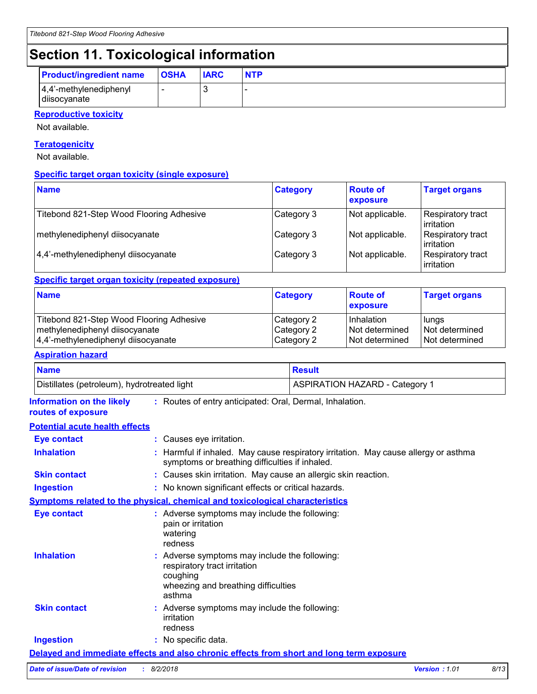# **Section 11. Toxicological information**

| <b>Product/ingredient name</b>             | <b>OSHA</b> | <b>IARC</b> | <b>NTP</b> |
|--------------------------------------------|-------------|-------------|------------|
| $ 4,4'$ -methylenediphenyl<br>diisocyanate |             |             |            |

#### **Reproductive toxicity**

Not available.

### **Teratogenicity**

Not available.

#### **Specific target organ toxicity (single exposure)**

| <b>Name</b>                              | <b>Category</b> | <b>Route of</b><br>exposure | <b>Target organs</b>                    |
|------------------------------------------|-----------------|-----------------------------|-----------------------------------------|
| Titebond 821-Step Wood Flooring Adhesive | Category 3      | Not applicable.             | Respiratory tract<br>l irritation       |
| methylenediphenyl diisocyanate           | Category 3      | Not applicable.             | Respiratory tract<br>l irritation       |
| 4,4'-methylenediphenyl diisocyanate      | Category 3      | Not applicable.             | Respiratory tract<br><b>lirritation</b> |

#### **Specific target organ toxicity (repeated exposure)**

| <b>Name</b>                              | <b>Category</b> | <b>Route of</b><br>exposure | <b>Target organs</b>  |
|------------------------------------------|-----------------|-----------------------------|-----------------------|
| Titebond 821-Step Wood Flooring Adhesive | Category 2      | I Inhalation                | <b>Ilungs</b>         |
| methylenediphenyl diisocyanate           | Category 2      | <b>Not determined</b>       | Not determined        |
| 4,4'-methylenediphenyl diisocyanate      | Category 2      | I Not determined            | <b>Not determined</b> |

#### **Aspiration hazard**

| <b>Name</b>                                 | <b>Result</b>                |
|---------------------------------------------|------------------------------|
| Distillates (petroleum), hydrotreated light | ASPIRATION HAZARD - Category |

| Information on the likely<br>routes of exposure | : Routes of entry anticipated: Oral, Dermal, Inhalation.                                                                                   |               |      |
|-------------------------------------------------|--------------------------------------------------------------------------------------------------------------------------------------------|---------------|------|
| <b>Potential acute health effects</b>           |                                                                                                                                            |               |      |
| <b>Eye contact</b>                              | : Causes eye irritation.                                                                                                                   |               |      |
| <b>Inhalation</b>                               | : Harmful if inhaled. May cause respiratory irritation. May cause allergy or asthma<br>symptoms or breathing difficulties if inhaled.      |               |      |
| <b>Skin contact</b>                             | : Causes skin irritation. May cause an allergic skin reaction.                                                                             |               |      |
| <b>Ingestion</b>                                | : No known significant effects or critical hazards.                                                                                        |               |      |
|                                                 | <b>Symptoms related to the physical, chemical and toxicological characteristics</b>                                                        |               |      |
| <b>Eye contact</b>                              | : Adverse symptoms may include the following:<br>pain or irritation<br>watering<br>redness                                                 |               |      |
| <b>Inhalation</b>                               | : Adverse symptoms may include the following:<br>respiratory tract irritation<br>coughing<br>wheezing and breathing difficulties<br>asthma |               |      |
| <b>Skin contact</b>                             | : Adverse symptoms may include the following:<br>irritation<br>redness                                                                     |               |      |
| <b>Ingestion</b>                                | : No specific data.                                                                                                                        |               |      |
|                                                 | Delayed and immediate effects and also chronic effects from short and long term exposure                                                   |               |      |
| Date of issue/Date of revision                  | : 8/2/2018                                                                                                                                 | Version: 1.01 | 8/13 |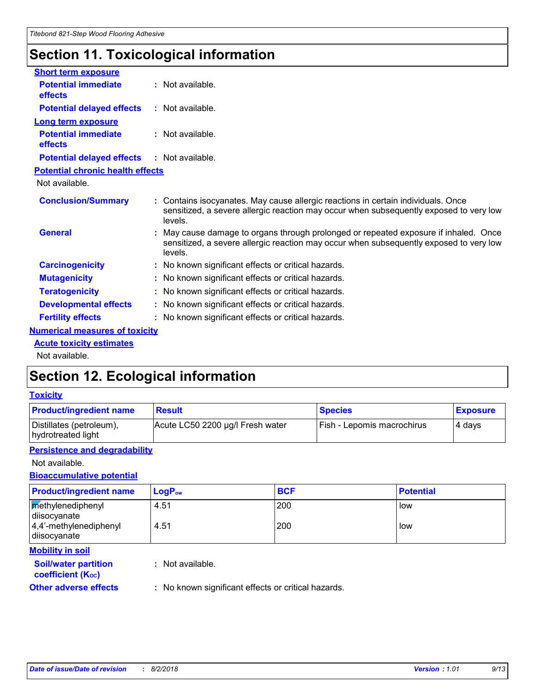# **Section 11. Toxicological information**

| <b>Potential immediate</b>              | : Not available.                                                                                                                                                               |
|-----------------------------------------|--------------------------------------------------------------------------------------------------------------------------------------------------------------------------------|
| <b>Potential delayed effects</b>        | $:$ Not available.                                                                                                                                                             |
| <b>Long term exposure</b>               |                                                                                                                                                                                |
| <b>Potential immediate</b>              | : Not available.                                                                                                                                                               |
| <b>Potential delayed effects</b>        | : Not available.                                                                                                                                                               |
| <b>Potential chronic health effects</b> |                                                                                                                                                                                |
| Not available.                          |                                                                                                                                                                                |
| <b>Conclusion/Summary</b><br>levels.    | : Contains isocyanates. May cause allergic reactions in certain individuals. Once<br>sensitized, a severe allergic reaction may occur when subsequently exposed to very low    |
| levels.                                 | : May cause damage to organs through prolonged or repeated exposure if inhaled. Once<br>sensitized, a severe allergic reaction may occur when subsequently exposed to very low |
| <b>Carcinogenicity</b>                  | : No known significant effects or critical hazards.                                                                                                                            |
| <b>Mutagenicity</b>                     | : No known significant effects or critical hazards.                                                                                                                            |
| <b>Teratogenicity</b>                   | : No known significant effects or critical hazards.                                                                                                                            |
| <b>Developmental effects</b>            | : No known significant effects or critical hazards.                                                                                                                            |
| <b>Fertility effects</b>                | : No known significant effects or critical hazards.                                                                                                                            |
| <b>Numerical measures of toxicity</b>   |                                                                                                                                                                                |
| <b>Acute toxicity estimates</b>         |                                                                                                                                                                                |
| Not available.                          |                                                                                                                                                                                |
|                                         |                                                                                                                                                                                |

# **Section 12. Ecological information**

#### **Toxicity**

| <b>Product/ingredient name</b>                 | <b>Result</b>                    | <b>Species</b>               | <b>Exposure</b> |
|------------------------------------------------|----------------------------------|------------------------------|-----------------|
| Distillates (petroleum),<br>hydrotreated light | Acute LC50 2200 µg/l Fresh water | [Fish - Lepomis macrochirus] | 4 davs          |

#### **Persistence and degradability**

Not available.

#### **Bioaccumulative potential**

| <b>Product/ingredient name</b>             | $LogP_{ow}$ | <b>BCF</b> | <b>Potential</b> |
|--------------------------------------------|-------------|------------|------------------|
| <b>Methylenediphenyl</b><br>diisocyanate   | 4.51        | 200        | low              |
| $ 4,4'$ -methylenediphenyl<br>diisocyanate | 4.51        | 200        | low              |
| Mobility in eail                           |             |            |                  |

#### **Mobility in soil**

| <b>Soil/water partition</b><br>coefficient (K <sub>oc</sub> ) | : Not available.                                    |
|---------------------------------------------------------------|-----------------------------------------------------|
| <b>Other adverse effects</b>                                  | : No known significant effects or critical hazards. |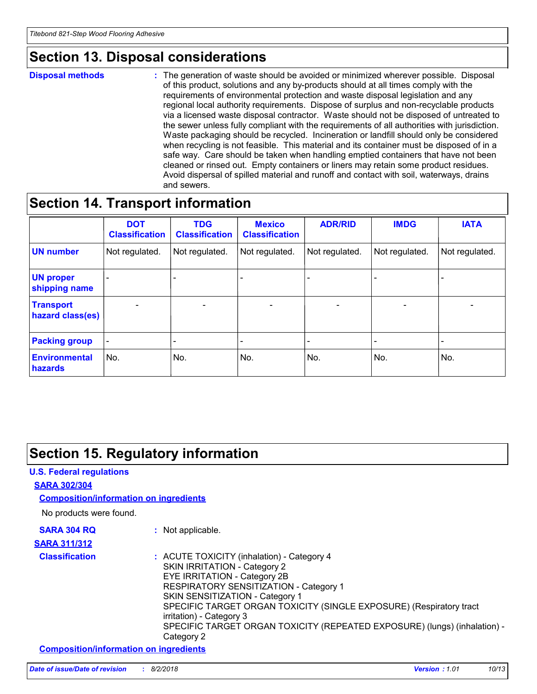### **Section 13. Disposal considerations**

#### **Disposal methods :**

The generation of waste should be avoided or minimized wherever possible. Disposal of this product, solutions and any by-products should at all times comply with the requirements of environmental protection and waste disposal legislation and any regional local authority requirements. Dispose of surplus and non-recyclable products via a licensed waste disposal contractor. Waste should not be disposed of untreated to the sewer unless fully compliant with the requirements of all authorities with jurisdiction. Waste packaging should be recycled. Incineration or landfill should only be considered when recycling is not feasible. This material and its container must be disposed of in a safe way. Care should be taken when handling emptied containers that have not been cleaned or rinsed out. Empty containers or liners may retain some product residues. Avoid dispersal of spilled material and runoff and contact with soil, waterways, drains and sewers.

### **Section 14. Transport information**

|                                      | <b>DOT</b><br><b>Classification</b> | <b>TDG</b><br><b>Classification</b> | <b>Mexico</b><br><b>Classification</b> | <b>ADR/RID</b>           | <b>IMDG</b>     | <b>IATA</b>              |
|--------------------------------------|-------------------------------------|-------------------------------------|----------------------------------------|--------------------------|-----------------|--------------------------|
| <b>UN number</b>                     | Not regulated.                      | Not regulated.                      | Not regulated.                         | Not regulated.           | Not regulated.  | Not regulated.           |
| <b>UN proper</b><br>shipping name    |                                     |                                     |                                        |                          |                 |                          |
| <b>Transport</b><br>hazard class(es) | $\overline{\phantom{m}}$            | $\overline{\phantom{0}}$            | $\overline{\phantom{a}}$               | $\overline{\phantom{a}}$ | $\qquad \qquad$ | $\overline{\phantom{0}}$ |
| <b>Packing group</b>                 | $\qquad \qquad \blacksquare$        |                                     |                                        |                          |                 |                          |
| <b>Environmental</b><br>hazards      | No.                                 | No.                                 | No.                                    | No.                      | No.             | No.                      |

### **Section 15. Regulatory information**

#### **U.S. Federal regulations**

#### **SARA 302/304**

**Composition/information on ingredients**

No products were found.

**SARA 304 RQ :** Not applicable.

#### **SARA 311/312**

**Classification :** ACUTE TOXICITY (inhalation) - Category 4 SKIN IRRITATION - Category 2 EYE IRRITATION - Category 2B RESPIRATORY SENSITIZATION - Category 1 SKIN SENSITIZATION - Category 1 SPECIFIC TARGET ORGAN TOXICITY (SINGLE EXPOSURE) (Respiratory tract irritation) - Category 3 SPECIFIC TARGET ORGAN TOXICITY (REPEATED EXPOSURE) (lungs) (inhalation) - Category 2

#### **Composition/information on ingredients**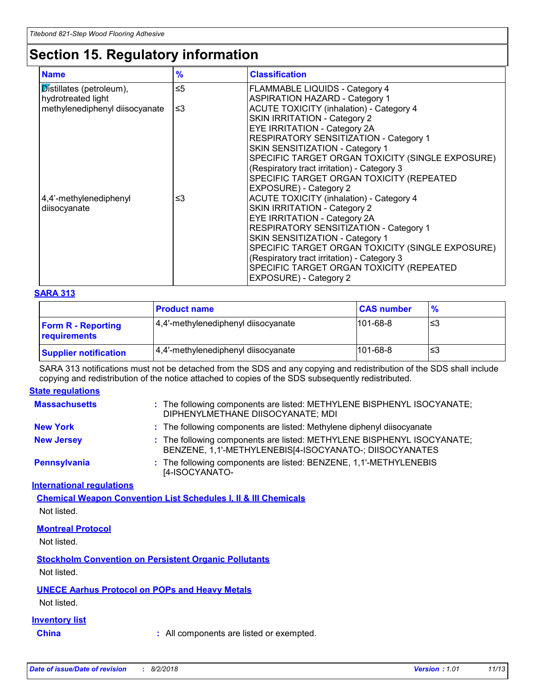## **Section 15. Regulatory information**

| <b>Name</b>                    | %        | <b>Classification</b>                                                           |
|--------------------------------|----------|---------------------------------------------------------------------------------|
| Distillates (petroleum),       | $\leq 5$ | <b>FLAMMABLE LIQUIDS - Category 4</b>                                           |
| hydrotreated light             |          | <b>ASPIRATION HAZARD - Category 1</b>                                           |
| methylenediphenyl diisocyanate | ≤3       | <b>ACUTE TOXICITY (inhalation) - Category 4</b>                                 |
|                                |          | <b>SKIN IRRITATION - Category 2</b>                                             |
|                                |          | EYE IRRITATION - Category 2A                                                    |
|                                |          | RESPIRATORY SENSITIZATION - Category 1                                          |
|                                |          | SKIN SENSITIZATION - Category 1                                                 |
|                                |          | SPECIFIC TARGET ORGAN TOXICITY (SINGLE EXPOSURE)                                |
|                                |          | (Respiratory tract irritation) - Category 3                                     |
|                                |          | SPECIFIC TARGET ORGAN TOXICITY (REPEATED                                        |
|                                |          | EXPOSURE) - Category 2                                                          |
| 4,4'-methylenediphenyl         | ≤3       | ACUTE TOXICITY (inhalation) - Category 4<br><b>SKIN IRRITATION - Category 2</b> |
| diisocyanate                   |          | EYE IRRITATION - Category 2A                                                    |
|                                |          | RESPIRATORY SENSITIZATION - Category 1                                          |
|                                |          | SKIN SENSITIZATION - Category 1                                                 |
|                                |          | SPECIFIC TARGET ORGAN TOXICITY (SINGLE EXPOSURE)                                |
|                                |          | (Respiratory tract irritation) - Category 3                                     |
|                                |          | SPECIFIC TARGET ORGAN TOXICITY (REPEATED                                        |
|                                |          | EXPOSURE) - Category 2                                                          |

#### **SARA 313**

**State regulations**

|                                           | <b>Product name</b>                 | <b>CAS number</b> | $\frac{9}{6}$ |
|-------------------------------------------|-------------------------------------|-------------------|---------------|
| <b>Form R - Reporting</b><br>requirements | 4,4'-methylenediphenyl diisocyanate | $101 - 68 - 8$    | ≤3            |
| <b>Supplier notification</b>              | 4,4'-methylenediphenyl diisocyanate | $101 - 68 - 8$    | ≤3            |

SARA 313 notifications must not be detached from the SDS and any copying and redistribution of the SDS shall include copying and redistribution of the notice attached to copies of the SDS subsequently redistributed.

| <b>Massachusetts</b>             | : The following components are listed: METHYLENE BISPHENYL ISOCYANATE;<br>DIPHENYLMETHANE DIISOCYANATE; MDI                       |
|----------------------------------|-----------------------------------------------------------------------------------------------------------------------------------|
| <b>New York</b>                  | : The following components are listed: Methylene diphenyl diisocyanate                                                            |
| <b>New Jersey</b>                | : The following components are listed: METHYLENE BISPHENYL ISOCYANATE;<br>BENZENE, 1,1'-METHYLENEBIS[4-ISOCYANATO-; DIISOCYANATES |
| <b>Pennsylvania</b>              | : The following components are listed: BENZENE, 1,1'-METHYLENEBIS<br>[4-ISOCYANATO-                                               |
| <b>International regulations</b> |                                                                                                                                   |
|                                  | <b>Chemical Weapon Convention List Schedules I, II &amp; III Chemicals</b>                                                        |
| Not listed.                      |                                                                                                                                   |
| <b>Montreal Protocol</b>         |                                                                                                                                   |
| Not listed.                      |                                                                                                                                   |
|                                  | <b>Stockholm Convention on Persistent Organic Pollutants</b>                                                                      |
| Not listed.                      |                                                                                                                                   |
|                                  | <b>UNECE Aarhus Protocol on POPs and Heavy Metals</b>                                                                             |
| Not listed.                      |                                                                                                                                   |
| <b>Inventory list</b>            |                                                                                                                                   |
| <b>China</b>                     | : All components are listed or exempted.                                                                                          |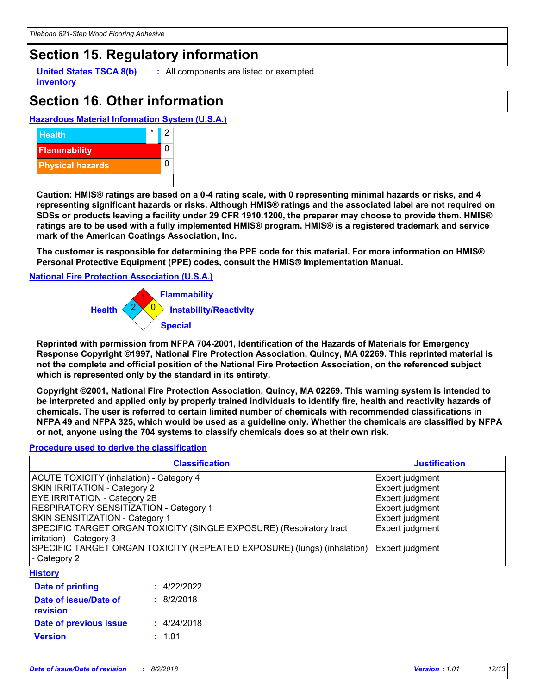### **Section 15. Regulatory information**

**United States TSCA 8(b) inventory**

**:** All components are listed or exempted.

### **Section 16. Other information**

#### **Hazardous Material Information System (U.S.A.)**



**Caution: HMIS® ratings are based on a 0-4 rating scale, with 0 representing minimal hazards or risks, and 4 representing significant hazards or risks. Although HMIS® ratings and the associated label are not required on SDSs or products leaving a facility under 29 CFR 1910.1200, the preparer may choose to provide them. HMIS® ratings are to be used with a fully implemented HMIS® program. HMIS® is a registered trademark and service mark of the American Coatings Association, Inc.**

**The customer is responsible for determining the PPE code for this material. For more information on HMIS® Personal Protective Equipment (PPE) codes, consult the HMIS® Implementation Manual.**

#### **National Fire Protection Association (U.S.A.)**



**Reprinted with permission from NFPA 704-2001, Identification of the Hazards of Materials for Emergency Response Copyright ©1997, National Fire Protection Association, Quincy, MA 02269. This reprinted material is not the complete and official position of the National Fire Protection Association, on the referenced subject which is represented only by the standard in its entirety.**

**Copyright ©2001, National Fire Protection Association, Quincy, MA 02269. This warning system is intended to be interpreted and applied only by properly trained individuals to identify fire, health and reactivity hazards of chemicals. The user is referred to certain limited number of chemicals with recommended classifications in NFPA 49 and NFPA 325, which would be used as a guideline only. Whether the chemicals are classified by NFPA or not, anyone using the 704 systems to classify chemicals does so at their own risk.**

#### **Procedure used to derive the classification**

| <b>Classification</b>                                                                   | <b>Justification</b> |
|-----------------------------------------------------------------------------------------|----------------------|
| <b>ACUTE TOXICITY (inhalation) - Category 4</b>                                         | Expert judgment      |
| SKIN IRRITATION - Category 2                                                            | Expert judgment      |
| EYE IRRITATION - Category 2B                                                            | Expert judgment      |
| RESPIRATORY SENSITIZATION - Category 1                                                  | Expert judgment      |
| SKIN SENSITIZATION - Category 1                                                         | Expert judgment      |
| SPECIFIC TARGET ORGAN TOXICITY (SINGLE EXPOSURE) (Respiratory tract                     | Expert judgment      |
| irritation) - Category 3                                                                |                      |
| SPECIFIC TARGET ORGAN TOXICITY (REPEATED EXPOSURE) (lungs) (inhalation) Expert judgment |                      |
| - Category 2                                                                            |                      |
| <b>History</b>                                                                          |                      |

| <b>Date of printing</b>           | : 4/22/2022 |
|-----------------------------------|-------------|
| Date of issue/Date of<br>revision | : 8/2/2018  |
| Date of previous issue            | : 4/24/2018 |
| <b>Version</b>                    | : 1.01      |